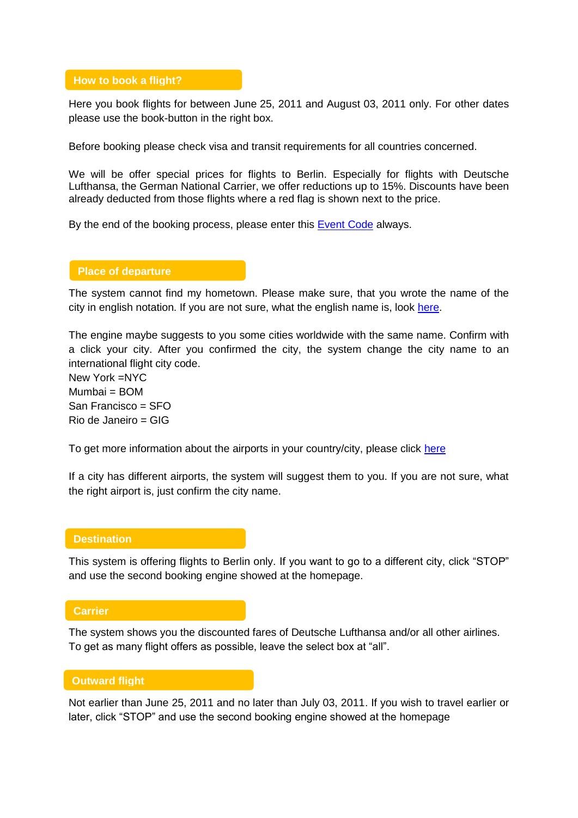### **How to book a flight?**

Here you book flights for between June 25, 2011 and August 03, 2011 only. For other dates please use the book-button in the right box.

Before booking please check visa and transit requirements for all countries concerned.

We will be offer special prices for flights to Berlin. Especially for flights with Deutsche Lufthansa, the German National Carrier, we offer reductions up to 15%. Discounts have been already deducted from those flights where a red flag is shown next to the price.

By the end of the booking process, please enter this **Event Code** always.

### **Place of departure**

The system cannot find my hometown. Please make sure, that you wrote the name of the city in english notation. If you are not sure, what the english name is, look [here.](http://www.airport-data.com/world-airports/countries)

The engine maybe suggests to you some cities worldwide with the same name. Confirm with a click your city. After you confirmed the city, the system change the city name to an international flight city code.

New York =NYC  $Mumbai = BOM$ San Francisco = SFO Rio de Janeiro = GIG

To get more information about the airports in your country/city, please click [here](http://www.airport-data.com/world-airports/countries)

If a city has different airports, the system will suggest them to you. If you are not sure, what the right airport is, just confirm the city name.

### **Destination**

This system is offering flights to Berlin only. If you want to go to a different city, click "STOP" and use the second booking engine showed at the homepage.

### **Carrier**

The system shows you the discounted fares of Deutsche Lufthansa and/or all other airlines. To get as many flight offers as possible, leave the select box at "all".

### **Outward flight**

Not earlier than June 25, 2011 and no later than July 03, 2011. If you wish to travel earlier or later, click "STOP" and use the second booking engine showed at the homepage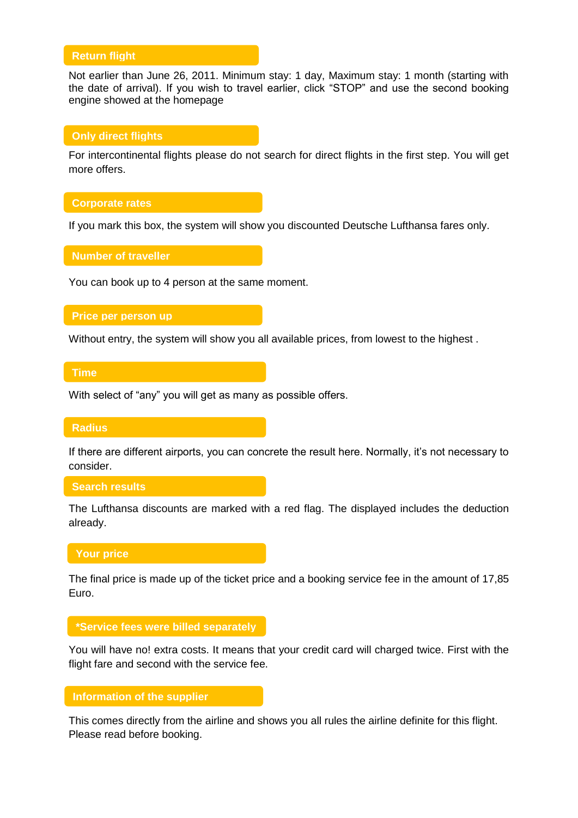# **Return flight**

Not earlier than June 26, 2011. Minimum stay: 1 day, Maximum stay: 1 month (starting with the date of arrival). If you wish to travel earlier, click "STOP" and use the second booking engine showed at the homepage

### **Only direct flights**

For intercontinental flights please do not search for direct flights in the first step. You will get more offers.

### **Corporate rates**

If you mark this box, the system will show you discounted Deutsche Lufthansa fares only.

**Number of traveller**

You can book up to 4 person at the same moment.

### **Price per person up**

Without entry, the system will show you all available prices, from lowest to the highest .

### **Time**

With select of "any" you will get as many as possible offers.

#### **Radius**

If there are different airports, you can concrete the result here. Normally, it's not necessary to consider.

### **Search results**

The Lufthansa discounts are marked with a red flag. The displayed includes the deduction already.

### **Your price**

The final price is made up of the ticket price and a booking service fee in the amount of 17,85 Euro.

### **\*Service fees were billed separately**

You will have no! extra costs. It means that your credit card will charged twice. First with the flight fare and second with the service fee. **results**

# **Information of the supplier**

This comes directly from the airline and shows you all rules the airline definite for this flight. Please read before booking. **separately results**